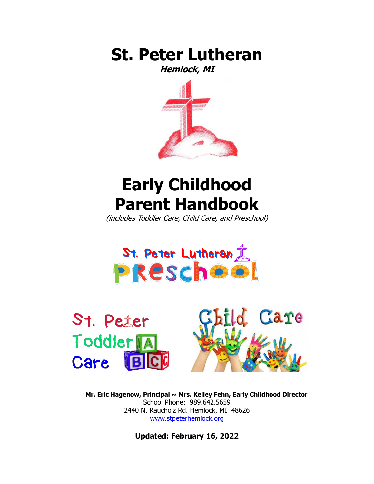

**Hemlock, MI**



# **Early Childhood Parent Handbook**

(includes Toddler Care, Child Care, and Preschool)







**Mr. Eric Hagenow, Principal ~ Mrs. Kelley Fehn, Early Childhood Director** School Phone: 989.642.5659 2440 N. Raucholz Rd. Hemlock, MI 48626 [www.stpeterhemlock.org](http://www.stpeterhemlock.org/)

**Updated: February 16, 2022**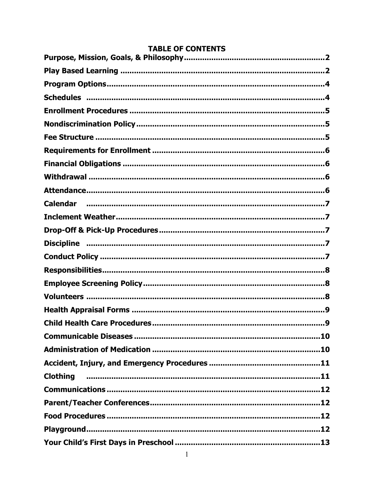| <b>Calendar</b>                           |
|-------------------------------------------|
|                                           |
|                                           |
|                                           |
|                                           |
|                                           |
|                                           |
|                                           |
|                                           |
| <b>Child Health Care Procedures</b><br>.9 |
|                                           |
|                                           |
|                                           |
| <b>Clothing</b>                           |
|                                           |
|                                           |
|                                           |
|                                           |
|                                           |

# **TABLE OF CONTENTS**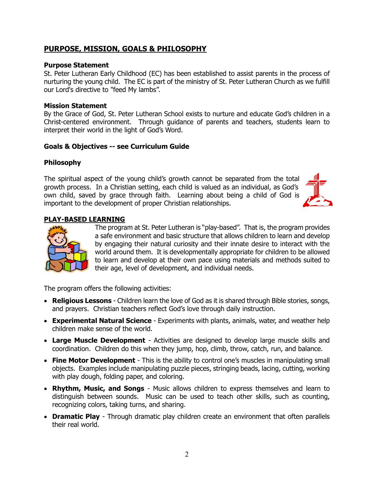# **PURPOSE, MISSION, GOALS & PHILOSOPHY**

#### **Purpose Statement**

St. Peter Lutheran Early Childhood (EC) has been established to assist parents in the process of nurturing the young child. The EC is part of the ministry of St. Peter Lutheran Church as we fulfill our Lord's directive to "feed My lambs".

#### **Mission Statement**

By the Grace of God, St. Peter Lutheran School exists to nurture and educate God's children in a Christ-centered environment. Through guidance of parents and teachers, students learn to interpret their world in the light of God's Word.

#### **Goals & Objectives -- see Curriculum Guide**

#### **Philosophy**

The spiritual aspect of the young child's growth cannot be separated from the total growth process. In a Christian setting, each child is valued as an individual, as God's own child, saved by grace through faith. Learning about being a child of God is important to the development of proper Christian relationships.



## **PLAY-BASED LEARNING**



The program at St. Peter Lutheran is "play-based". That is, the program provides a safe environment and basic structure that allows children to learn and develop by engaging their natural curiosity and their innate desire to interact with the world around them. It is developmentally appropriate for children to be allowed to learn and develop at their own pace using materials and methods suited to their age, level of development, and individual needs.

The program offers the following activities:

- **Religious Lessons** Children learn the love of God as it is shared through Bible stories, songs, and prayers. Christian teachers reflect God's love through daily instruction.
- **Experimental Natural Science** Experiments with plants, animals, water, and weather help children make sense of the world.
- **Large Muscle Development** Activities are designed to develop large muscle skills and coordination. Children do this when they jump, hop, climb, throw, catch, run, and balance.
- **Fine Motor Development** This is the ability to control one's muscles in manipulating small objects. Examples include manipulating puzzle pieces, stringing beads, lacing, cutting, working with play dough, folding paper, and coloring.
- **Rhythm, Music, and Songs** Music allows children to express themselves and learn to distinguish between sounds. Music can be used to teach other skills, such as counting, recognizing colors, taking turns, and sharing.
- **Dramatic Play** Through dramatic play children create an environment that often parallels their real world.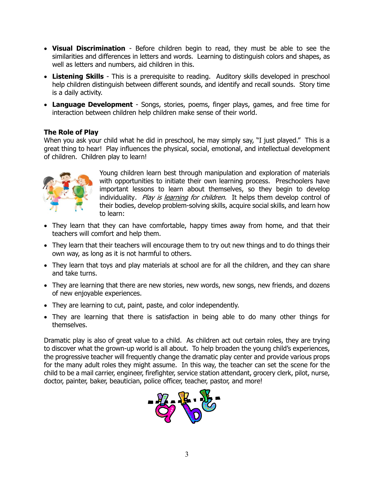- **Visual Discrimination** Before children begin to read, they must be able to see the similarities and differences in letters and words. Learning to distinguish colors and shapes, as well as letters and numbers, aid children in this.
- **Listening Skills** This is a prerequisite to reading. Auditory skills developed in preschool help children distinguish between different sounds, and identify and recall sounds. Story time is a daily activity.
- **Language Development** Songs, stories, poems, finger plays, games, and free time for interaction between children help children make sense of their world.

## **The Role of Play**

When you ask your child what he did in preschool, he may simply say, "I just played." This is a great thing to hear! Play influences the physical, social, emotional, and intellectual development of children. Children play to learn!



Young children learn best through manipulation and exploration of materials with opportunities to initiate their own learning process. Preschoolers have important lessons to learn about themselves, so they begin to develop individuality. Play is learning for children. It helps them develop control of their bodies, develop problem-solving skills, acquire social skills, and learn how to learn:

- They learn that they can have comfortable, happy times away from home, and that their teachers will comfort and help them.
- They learn that their teachers will encourage them to try out new things and to do things their own way, as long as it is not harmful to others.
- They learn that toys and play materials at school are for all the children, and they can share and take turns.
- They are learning that there are new stories, new words, new songs, new friends, and dozens of new enjoyable experiences.
- They are learning to cut, paint, paste, and color independently.
- They are learning that there is satisfaction in being able to do many other things for themselves.

Dramatic play is also of great value to a child. As children act out certain roles, they are trying to discover what the grown-up world is all about. To help broaden the young child's experiences, the progressive teacher will frequently change the dramatic play center and provide various props for the many adult roles they might assume. In this way, the teacher can set the scene for the child to be a mail carrier, engineer, firefighter, service station attendant, grocery clerk, pilot, nurse, doctor, painter, baker, beautician, police officer, teacher, pastor, and more!

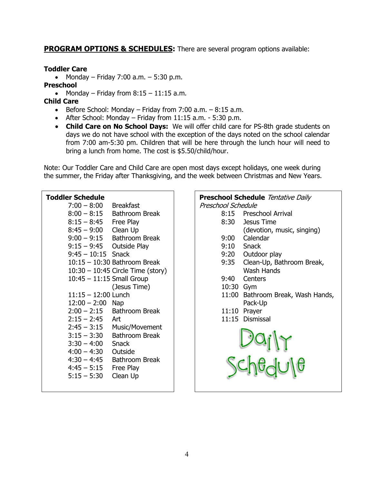**PROGRAM OPTIONS & SCHEDULES:** There are several program options available:

## **Toddler Care**

• Monday – Friday 7:00 a.m. – 5:30 p.m.

## **Preschool**

• Monday – Friday from  $8:15 - 11:15$  a.m.

# **Child Care**

- **•** Before School: Monday Friday from  $7:00$  a.m.  $8:15$  a.m.
- After School: Monday Friday from  $11:15$  a.m. 5:30 p.m.
- **Child Care on No School Days:** We will offer child care for PS-8th grade students on days we do not have school with the exception of the days noted on the school calendar from 7:00 am-5:30 pm. Children that will be here through the lunch hour will need to bring a lunch from home. The cost is \$5.50/child/hour.

Note: Our Toddler Care and Child Care are open most days except holidays, one week during the summer, the Friday after Thanksgiving, and the week between Christmas and New Years.

## **Toddler Schedule**

| $7:00 - 8:00$             | <b>Breakfast</b>                    |
|---------------------------|-------------------------------------|
| $8:00 - 8:15$             | <b>Bathroom Break</b>               |
| $8:15 - 8:45$             | Free Play                           |
| $8:45 - 9:00$             | Clean Up                            |
| $9:00 - 9:15$             | <b>Bathroom Break</b>               |
| 9:15 – 9:45               | <b>Outside Play</b>                 |
| $9:45 - 10:15$ Snack      |                                     |
|                           | 10:15 - 10:30 Bathroom Break        |
|                           | $10:30 - 10:45$ Circle Time (story) |
| 10:45 - 11:15 Small Group |                                     |
|                           | (Jesus Time)                        |
| $11:15 - 12:00$ Lunch     |                                     |
| $12:00 - 2:00$ Nap        |                                     |
| $2:00 - 2:15$             | Bathroom Break                      |
| $2:15 - 2:45$             | Art                                 |
| $2:45 - 3:15$             | Music/Movement                      |
| $3:15 - 3:30$             | <b>Bathroom Break</b>               |
| $3:30 - 4:00$             | <b>Snack</b>                        |
| $4:00 - 4:30$             | Outside                             |
| $4:30 - 4:45$             | <b>Bathroom Break</b>               |
| $4:45 - 5:15$             | Free Play                           |
| $5:15 - 5:30$             | Clean Up                            |
|                           |                                     |

#### **Preschool Schedule** Tentative Daily Preschool Schedule

- 8:15 Preschool Arrival
- 8:30 Jesus Time
	- (devotion, music, singing)
- 9:00 Calendar
- 9:10 Snack
- 9:20 Outdoor play
- 9:35 Clean-Up, Bathroom Break, Wash Hands
- 9:40 Centers
- 10:30 Gym
- 11:00 Bathroom Break, Wash Hands, Pack-Up
- 11:10 Prayer
- 11:15 Dismissal

Dajly<br>Chedule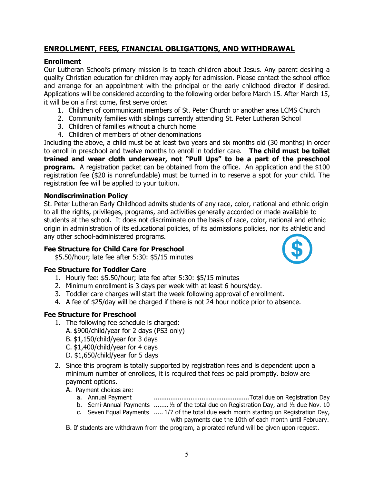# **ENROLLMENT, FEES, FINANCIAL OBLIGATIONS, AND WITHDRAWAL**

## **Enrollment**

Our Lutheran School's primary mission is to teach children about Jesus. Any parent desiring a quality Christian education for children may apply for admission. Please contact the school office and arrange for an appointment with the principal or the early childhood director if desired. Applications will be considered according to the following order before March 15. After March 15, it will be on a first come, first serve order.

- 1. Children of communicant members of St. Peter Church or another area LCMS Church
- 2. Community families with siblings currently attending St. Peter Lutheran School
- 3. Children of families without a church home
- 4. Children of members of other denominations

Including the above, a child must be at least two years and six months old (30 months) in order to enroll in preschool and twelve months to enroll in toddler care. **The child must be toilet trained and wear cloth underwear, not "Pull Ups" to be a part of the preschool program.** A registration packet can be obtained from the office. An application and the \$100 registration fee (\$20 is nonrefundable) must be turned in to reserve a spot for your child. The registration fee will be applied to your tuition.

## **Nondiscrimination Policy**

St. Peter Lutheran Early Childhood admits students of any race, color, national and ethnic origin to all the rights, privileges, programs, and activities generally accorded or made available to students at the school. It does not discriminate on the basis of race, color, national and ethnic origin in administration of its educational policies, of its admissions policies, nor its athletic and any other school-administered programs.

## **Fee Structure for Child Care for Preschool**

\$5.50/hour; late fee after 5:30: \$5/15 minutes

## **Fee Structure for Toddler Care**

- 1. Hourly fee: \$5.50/hour; late fee after 5:30: \$5/15 minutes
- 2. Minimum enrollment is 3 days per week with at least 6 hours/day.
- 3. Toddler care charges will start the week following approval of enrollment.
- 4. A fee of \$25/day will be charged if there is not 24 hour notice prior to absence.

## **Fee Structure for Preschool**

- 1. The following fee schedule is charged:
	- A. \$900/child/year for 2 days (PS3 only)
	- B. \$1,150/child/year for 3 days
	- C. \$1,400/child/year for 4 days
	- D. \$1,650/child/year for 5 days
- 2. Since this program is totally supported by registration fees and is dependent upon a minimum number of enrollees, it is required that fees be paid promptly. below are payment options.
	- A. Payment choices are:
		- a. Annual Payment ....................................................Total due on Registration Day
		- b. Semi-Annual Payments  $\ldots \ldots \ldots \frac{1}{2}$  of the total due on Registration Day, and  $\frac{1}{2}$  due Nov. 10
		- c. Seven Equal Payments ..... 1/7 of the total due each month starting on Registration Day, with payments due the 10th of each month until February.
	- B. If students are withdrawn from the program, a prorated refund will be given upon request.

5

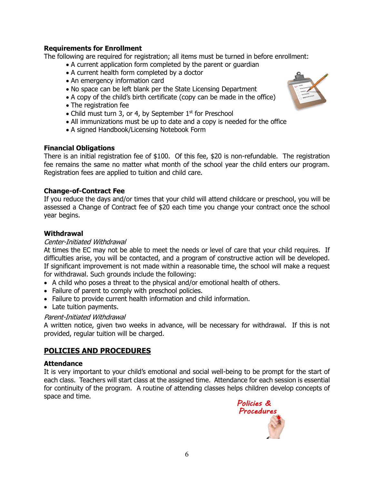## **Requirements for Enrollment**

The following are required for registration; all items must be turned in before enrollment:

- A current application form completed by the parent or guardian
- A current health form completed by a doctor
- An emergency information card
- No space can be left blank per the State Licensing Department
- A copy of the child's birth certificate (copy can be made in the office)
- The registration fee
- Child must turn 3, or 4, by September  $1<sup>st</sup>$  for Preschool
- All immunizations must be up to date and a copy is needed for the office
- A signed Handbook/Licensing Notebook Form

## **Financial Obligations**

There is an initial registration fee of \$100. Of this fee, \$20 is non-refundable. The registration fee remains the same no matter what month of the school year the child enters our program. Registration fees are applied to tuition and child care.

## **Change-of-Contract Fee**

If you reduce the days and/or times that your child will attend childcare or preschool, you will be assessed a Change of Contract fee of \$20 each time you change your contract once the school year begins.

#### **Withdrawal**

#### Center-Initiated Withdrawal

At times the EC may not be able to meet the needs or level of care that your child requires. If difficulties arise, you will be contacted, and a program of constructive action will be developed. If significant improvement is not made within a reasonable time, the school will make a request for withdrawal. Such grounds include the following:

- A child who poses a threat to the physical and/or emotional health of others.
- Failure of parent to comply with preschool policies.
- Failure to provide current health information and child information.
- Late tuition payments.

#### Parent-Initiated Withdrawal

A written notice, given two weeks in advance, will be necessary for withdrawal. If this is not provided, regular tuition will be charged.

## **POLICIES AND PROCEDURES**

#### **Attendance**

It is very important to your child's emotional and social well-being to be prompt for the start of each class. Teachers will start class at the assigned time. Attendance for each session is essential for continuity of the program. A routine of attending classes helps children develop concepts of space and time.



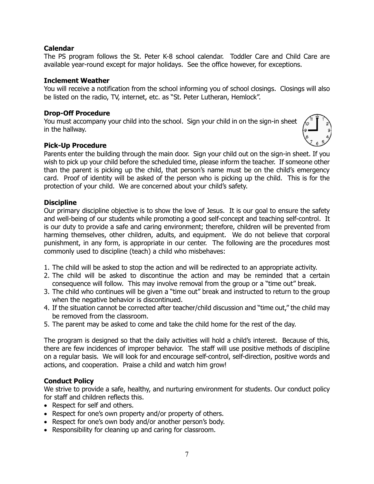## **Calendar**

The PS program follows the St. Peter K-8 school calendar. Toddler Care and Child Care are available year-round except for major holidays. See the office however, for exceptions.

#### **Inclement Weather**

You will receive a notification from the school informing you of school closings. Closings will also be listed on the radio, TV, internet, etc. as "St. Peter Lutheran, Hemlock".

#### **Drop-Off Procedure**

You must accompany your child into the school. Sign your child in on the sign-in sheet in the hallway.

#### **Pick-Up Procedure**

Parents enter the building through the main door. Sign your child out on the sign-in sheet. If you wish to pick up your child before the scheduled time, please inform the teacher. If someone other than the parent is picking up the child, that person's name must be on the child's emergency card. Proof of identity will be asked of the person who is picking up the child. This is for the protection of your child. We are concerned about your child's safety.

#### **Discipline**

Our primary discipline objective is to show the love of Jesus. It is our goal to ensure the safety and well-being of our students while promoting a good self-concept and teaching self-control. It is our duty to provide a safe and caring environment; therefore, children will be prevented from harming themselves, other children, adults, and equipment. We do not believe that corporal punishment, in any form, is appropriate in our center. The following are the procedures most commonly used to discipline (teach) a child who misbehaves:

- 1. The child will be asked to stop the action and will be redirected to an appropriate activity.
- 2. The child will be asked to discontinue the action and may be reminded that a certain consequence will follow. This may involve removal from the group or a "time out" break.
- 3. The child who continues will be given a "time out" break and instructed to return to the group when the negative behavior is discontinued.
- 4. If the situation cannot be corrected after teacher/child discussion and "time out," the child may be removed from the classroom.
- 5. The parent may be asked to come and take the child home for the rest of the day.

The program is designed so that the daily activities will hold a child's interest. Because of this, there are few incidences of improper behavior. The staff will use positive methods of discipline on a regular basis. We will look for and encourage self-control, self-direction, positive words and actions, and cooperation. Praise a child and watch him grow!

#### **Conduct Policy**

We strive to provide a safe, healthy, and nurturing environment for students. Our conduct policy for staff and children reflects this.

- Respect for self and others.
- Respect for one's own property and/or property of others.
- Respect for one's own body and/or another person's body.
- Responsibility for cleaning up and caring for classroom.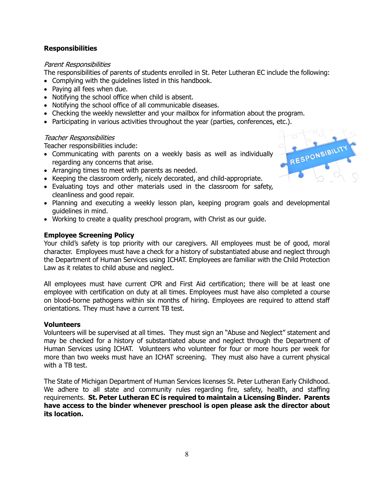## **Responsibilities**

#### Parent Responsibilities

The responsibilities of parents of students enrolled in St. Peter Lutheran EC include the following:

- Complying with the guidelines listed in this handbook.
- Paying all fees when due.
- Notifying the school office when child is absent.
- Notifying the school office of all communicable diseases.
- Checking the weekly newsletter and your mailbox for information about the program.
- Participating in various activities throughout the year (parties, conferences, etc.).

#### Teacher Responsibilities

Teacher responsibilities include:

- Communicating with parents on a weekly basis as well as individually regarding any concerns that arise.
- Arranging times to meet with parents as needed.
- Keeping the classroom orderly, nicely decorated, and child-appropriate.
- Evaluating toys and other materials used in the classroom for safety, cleanliness and good repair.
- Planning and executing a weekly lesson plan, keeping program goals and developmental guidelines in mind.
- Working to create a quality preschool program, with Christ as our guide.

## **Employee Screening Policy**

Your child's safety is top priority with our caregivers. All employees must be of good, moral character. Employees must have a check for a history of substantiated abuse and neglect through the Department of Human Services using ICHAT. Employees are familiar with the Child Protection Law as it relates to child abuse and neglect.

All employees must have current CPR and First Aid certification; there will be at least one employee with certification on duty at all times. Employees must have also completed a course on blood-borne pathogens within six months of hiring. Employees are required to attend staff orientations. They must have a current TB test.

#### **Volunteers**

Volunteers will be supervised at all times. They must sign an "Abuse and Neglect" statement and may be checked for a history of substantiated abuse and neglect through the Department of Human Services using ICHAT. Volunteers who volunteer for four or more hours per week for more than two weeks must have an ICHAT screening. They must also have a current physical with a TB test.

The State of Michigan Department of Human Services licenses St. Peter Lutheran Early Childhood. We adhere to all state and community rules regarding fire, safety, health, and staffing requirements. **St. Peter Lutheran EC is required to maintain a Licensing Binder. Parents have access to the binder whenever preschool is open please ask the director about its location.**

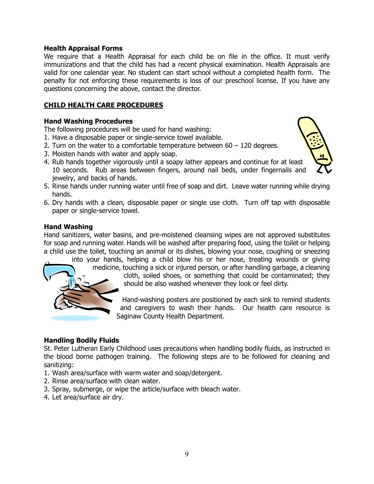#### **Health Appraisal Forms**

We require that a Health Appraisal for each child be on file in the office. It must verify immunizations and that the child has had a recent physical examination. Health Appraisals are valid for one calendar year. No student can start school without a completed health form. The penalty for not enforcing these requirements is loss of our preschool license. If you have any questions concerning the above, contact the director.

## **CHILD HEALTH CARE PROCEDURES**

#### **Hand Washing Procedures**

The following procedures will be used for hand washing:

1. Have a disposable paper or single-service towel available.

- 2. Turn on the water to a comfortable temperature between 60 120 degrees.
- 3. Moisten hands with water and apply soap.
- 4. Rub hands together vigorously until a soapy lather appears and continue for at least 10 seconds. Rub areas between fingers, around nail beds, under fingernails and jewelry, and backs of hands.
- 5. Rinse hands under running water until free of soap and dirt. Leave water running while drying hands.
- 6. Dry hands with a clean, disposable paper or single use cloth. Turn off tap with disposable paper or single-service towel.

# **Hand Washing**

Hand sanitizers, water basins, and pre-moistened cleansing wipes are not approved substitutes for soap and running water. Hands will be washed after preparing food, using the toilet or helping a child use the toilet, touching an animal or its dishes, blowing your nose, coughing or sneezing

into your hands, helping a child blow his or her nose, treating wounds or giving medicine, touching a sick or injured person, or after handling garbage, a cleaning

cloth, soiled shoes, or something that could be contaminated; they should be also washed whenever they look or feel dirty.

Hand-washing posters are positioned by each sink to remind students and caregivers to wash their hands. Our health care resource is Saginaw County Health Department.

## **Handling Bodily Fluids**

St. Peter Lutheran Early Childhood uses precautions when handling bodily fluids, as instructed in the blood borne pathogen training. The following steps are to be followed for cleaning and sanitizing:

- 1. Wash area/surface with warm water and soap/detergent.
- 2. Rinse area/surface with clean water.
- 3. Spray, submerge, or wipe the article/surface with bleach water.
- 4. Let area/surface air dry.



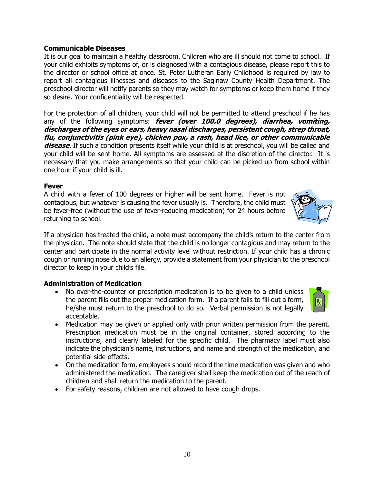## **Communicable Diseases**

It is our goal to maintain a healthy classroom. Children who are ill should not come to school. If your child exhibits symptoms of, or is diagnosed with a contagious disease, please report this to the director or school office at once. St. Peter Lutheran Early Childhood is required by law to report all contagious illnesses and diseases to the Saginaw County Health Department. The preschool director will notify parents so they may watch for symptoms or keep them home if they so desire. Your confidentiality will be respected.

For the protection of all children, your child will not be permitted to attend preschool if he has any of the following symptoms: **fever (over 100.0 degrees), diarrhea, vomiting, discharges of the eyes or ears, heavy nasal discharges, persistent cough, strep throat, flu, conjunctivitis (pink eye), chicken pox, a rash, head lice, or other communicable disease**. If such a condition presents itself while your child is at preschool, you will be called and your child will be sent home. All symptoms are assessed at the discretion of the director. It is necessary that you make arrangements so that your child can be picked up from school within one hour if your child is ill.

#### **Fever**

A child with a fever of 100 degrees or higher will be sent home. Fever is not contagious, but whatever is causing the fever usually is. Therefore, the child must be fever-free (without the use of fever-reducing medication) for 24 hours before returning to school.

If a physician has treated the child, a note must accompany the child's return to the center from the physician. The note should state that the child is no longer contagious and may return to the center and participate in the normal activity level without restriction. If your child has a chronic cough or running nose due to an allergy, provide a statement from your physician to the preschool director to keep in your child's file.

#### **Administration of Medication**

- No over-the-counter or prescription medication is to be given to a child unless the parent fills out the proper medication form. If a parent fails to fill out a form, he/she must return to the preschool to do so. Verbal permission is not legally acceptable.
- Medication may be given or applied only with prior written permission from the parent. Prescription medication must be in the original container, stored according to the instructions, and clearly labeled for the specific child. The pharmacy label must also indicate the physician's name, instructions, and name and strength of the medication, and potential side effects.
- On the medication form, employees should record the time medication was given and who administered the medication. The caregiver shall keep the medication out of the reach of children and shall return the medication to the parent.
- For safety reasons, children are not allowed to have cough drops.



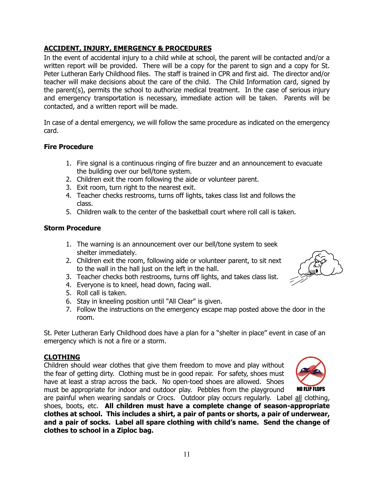## **ACCIDENT, INJURY, EMERGENCY & PROCEDURES** In the event of accidental injury to a child while at school, the parent will be contacted and/or a

written report will be provided. There will be a copy for the parent to sign and a copy for St. Peter Lutheran Early Childhood files. The staff is trained in CPR and first aid. The director and/or teacher will make decisions about the care of the child. The Child Information card, signed by the parent(s), permits the school to authorize medical treatment. In the case of serious injury and emergency transportation is necessary, immediate action will be taken. Parents will be contacted, and a written report will be made.

In case of a dental emergency, we will follow the same procedure as indicated on the emergency card.

#### **Fire Procedure**

- 1. Fire signal is a continuous ringing of fire buzzer and an announcement to evacuate the building over our bell/tone system.
- 2. Children exit the room following the aide or volunteer parent.
- 3. Exit room, turn right to the nearest exit.
- 4. Teacher checks restrooms, turns off lights, takes class list and follows the class.
- 5. Children walk to the center of the basketball court where roll call is taken.

#### **Storm Procedure**

- 1. The warning is an announcement over our bell/tone system to seek shelter immediately.
- 2. Children exit the room, following aide or volunteer parent, to sit next to the wall in the hall just on the left in the hall.
- 3. Teacher checks both restrooms, turns off lights, and takes class list.
- 4. Everyone is to kneel, head down, facing wall.
- 5. Roll call is taken.
- 6. Stay in kneeling position until "All Clear" is given.
- 7. Follow the instructions on the emergency escape map posted above the door in the room.

St. Peter Lutheran Early Childhood does have a plan for a "shelter in place" event in case of an emergency which is not a fire or a storm.

#### **CLOTHING**

Children should wear clothes that give them freedom to move and play without the fear of getting dirty. Clothing must be in good repair. For safety, shoes must have at least a strap across the back. No open-toed shoes are allowed. Shoes must be appropriate for indoor and outdoor play. Pebbles from the playground

are painful when wearing sandals or Crocs. Outdoor play occurs regularly. Label all clothing, shoes, boots, etc. **All children must have a complete change of season-appropriate clothes at school. This includes a shirt, a pair of pants or shorts, a pair of underwear, and a pair of socks. Label all spare clothing with child's name. Send the change of clothes to school in a Ziploc bag.**



NO FLIP FLOPS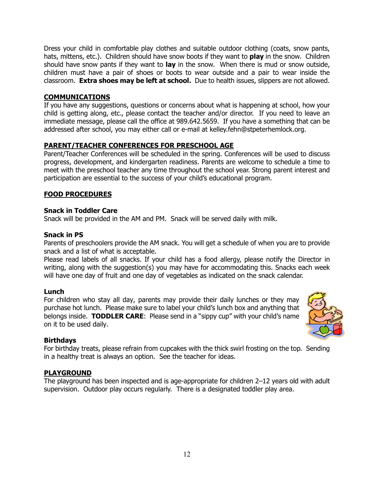Dress your child in comfortable play clothes and suitable outdoor clothing (coats, snow pants, hats, mittens, etc.). Children should have snow boots if they want to **play** in the snow. Children should have snow pants if they want to **lay** in the snow. When there is mud or snow outside, children must have a pair of shoes or boots to wear outside and a pair to wear inside the classroom. **Extra shoes may be left at school.** Due to health issues, slippers are not allowed.

## **COMMUNICATIONS**

If you have any suggestions, questions or concerns about what is happening at school, how your child is getting along, etc., please contact the teacher and/or director. If you need to leave an immediate message, please call the office at 989.642.5659. If you have a something that can be addressed after school, you may either call or e-mail at kelley.fehn@stpeterhemlock.org.

## **PARENT/TEACHER CONFERENCES FOR PRESCHOOL AGE**

Parent/Teacher Conferences will be scheduled in the spring. Conferences will be used to discuss progress, development, and kindergarten readiness. Parents are welcome to schedule a time to meet with the preschool teacher any time throughout the school year. Strong parent interest and participation are essential to the success of your child's educational program.

## **FOOD PROCEDURES**

#### **Snack in Toddler Care**

Snack will be provided in the AM and PM. Snack will be served daily with milk.

#### **Snack in PS**

Parents of preschoolers provide the AM snack. You will get a schedule of when you are to provide snack and a list of what is acceptable.

Please read labels of all snacks. If your child has a food allergy, please notify the Director in writing, along with the suggestion(s) you may have for accommodating this. Snacks each week will have one day of fruit and one day of vegetables as indicated on the snack calendar.

#### **Lunch**

For children who stay all day, parents may provide their daily lunches or they may purchase hot lunch. Please make sure to label your child's lunch box and anything that belongs inside. **TODDLER CARE**: Please send in a "sippy cup" with your child's name on it to be used daily.



#### **Birthdays**

For birthday treats, please refrain from cupcakes with the thick swirl frosting on the top. Sending in a healthy treat is always an option. See the teacher for ideas.

#### **PLAYGROUND**

The playground has been inspected and is age-appropriate for children 2–12 years old with adult supervision. Outdoor play occurs regularly. There is a designated toddler play area.